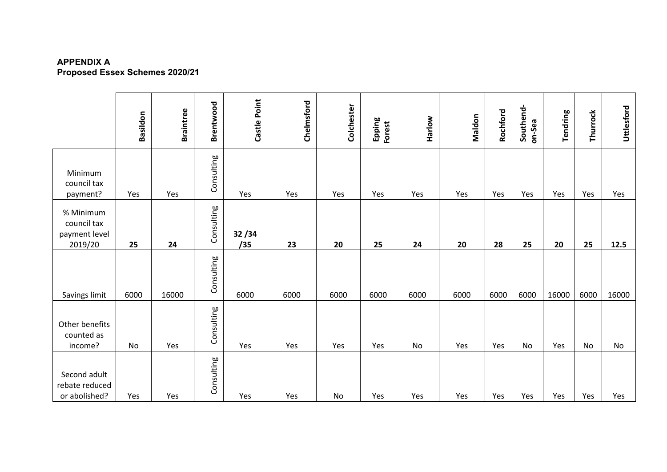## **APPENDIX A Proposed Essex Schemes 2020/21**

|                                                      | Basildon | <b>Braintree</b> | Brentwood  | Castle Point | Chelmsford | Colchester | Epping<br>Forest | Harlow | Maldon | Rochford | Southend-<br>on-Sea | Tendring | Thurrock | Uttlesford |
|------------------------------------------------------|----------|------------------|------------|--------------|------------|------------|------------------|--------|--------|----------|---------------------|----------|----------|------------|
| Minimum<br>council tax<br>payment?                   | Yes      | Yes              | Consulting | Yes          | Yes        | Yes        | Yes              | Yes    | Yes    | Yes      | Yes                 | Yes      | Yes      | Yes        |
| % Minimum<br>council tax<br>payment level<br>2019/20 | 25       | 24               | Consulting | 32/34<br>/35 | 23         | 20         | 25               | 24     | 20     | 28       | 25                  | 20       | 25       | 12.5       |
| Savings limit                                        | 6000     | 16000            | Consulting | 6000         | 6000       | 6000       | 6000             | 6000   | 6000   | 6000     | 6000                | 16000    | 6000     | 16000      |
| Other benefits<br>counted as<br>income?              | No       | Yes              | Consulting | Yes          | Yes        | Yes        | Yes              | No     | Yes    | Yes      | No                  | Yes      | No       | No         |
| Second adult<br>rebate reduced<br>or abolished?      | Yes      | Yes              | Consulting | Yes          | Yes        | No         | Yes              | Yes    | Yes    | Yes      | Yes                 | Yes      | Yes      | Yes        |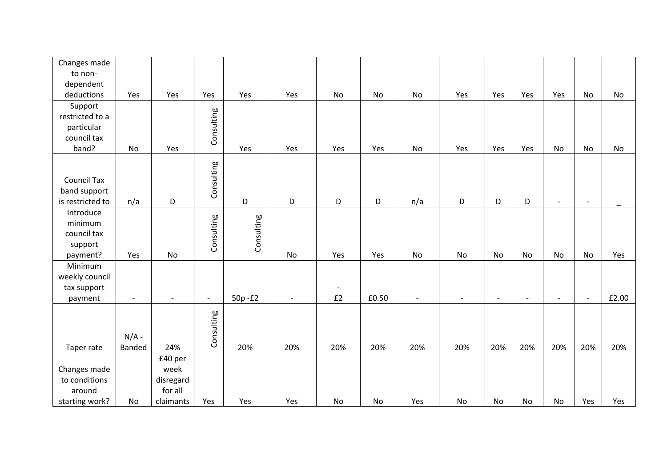| Changes made<br>to non-<br>dependent                                  |                          |                                         |                          |            |                          |                      |       |                          |                          |                          |                          |                          |                          |           |
|-----------------------------------------------------------------------|--------------------------|-----------------------------------------|--------------------------|------------|--------------------------|----------------------|-------|--------------------------|--------------------------|--------------------------|--------------------------|--------------------------|--------------------------|-----------|
| deductions<br>Support<br>restricted to a<br>particular<br>council tax | Yes                      | Yes                                     | Yes<br>Consulting        | Yes        | Yes                      | No                   | No    | No                       | Yes                      | Yes                      | Yes                      | Yes                      | No                       | <b>No</b> |
| band?                                                                 | $\mathsf{No}$            | Yes                                     |                          | Yes        | Yes                      | Yes                  | Yes   | No                       | Yes                      | Yes                      | Yes                      | No                       | No                       | No        |
| <b>Council Tax</b><br>band support<br>is restricted to                | n/a                      | D                                       | Consulting               | D          | D                        | D                    | D     | n/a                      | D                        | D                        | D                        | $\overline{\phantom{a}}$ | $\overline{\phantom{a}}$ |           |
| Introduce<br>minimum<br>council tax<br>support<br>payment?            | Yes                      | No                                      | Consulting               | Consulting | <b>No</b>                | Yes                  | Yes   | <b>No</b>                | <b>No</b>                | <b>No</b>                | <b>No</b>                | <b>No</b>                | No                       | Yes       |
| Minimum<br>weekly council<br>tax support<br>payment                   | $\overline{\phantom{a}}$ | $\overline{\phantom{a}}$                | $\overline{\phantom{a}}$ | 50p-£2     | $\overline{\phantom{a}}$ | $\overline{a}$<br>£2 | £0.50 | $\overline{\phantom{a}}$ | $\overline{\phantom{a}}$ | $\overline{\phantom{a}}$ | $\overline{\phantom{0}}$ | $\overline{\phantom{a}}$ | $\overline{\phantom{a}}$ | £2.00     |
| Taper rate                                                            | $N/A -$<br><b>Banded</b> | 24%                                     | Consulting               | 20%        | 20%                      | 20%                  | 20%   | 20%                      | 20%                      | 20%                      | 20%                      | 20%                      | 20%                      | 20%       |
| Changes made<br>to conditions<br>around                               |                          | £40 per<br>week<br>disregard<br>for all |                          |            |                          |                      |       |                          |                          |                          |                          |                          |                          |           |
| starting work?                                                        | No                       | claimants                               | Yes                      | Yes        | Yes                      | No                   | No    | Yes                      | No                       | No                       | No                       | No                       | Yes                      | Yes       |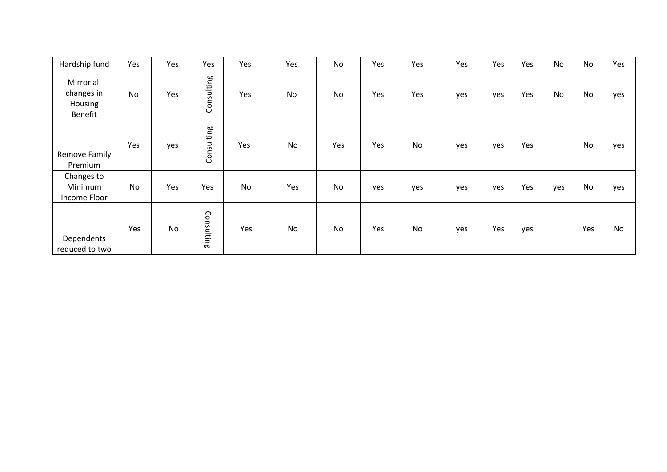| Hardship fund                                  | Yes | Yes       | Yes        | Yes | Yes       | No  | Yes | Yes       | Yes | Yes | Yes | <b>No</b> | No  | Yes       |
|------------------------------------------------|-----|-----------|------------|-----|-----------|-----|-----|-----------|-----|-----|-----|-----------|-----|-----------|
| Mirror all<br>changes in<br>Housing<br>Benefit | No  | Yes       | Consulting | Yes | No        | No  | Yes | Yes       | yes | yes | Yes | <b>No</b> | No  | yes       |
| Remove Family<br>Premium                       | Yes | yes       | Consulting | Yes | No        | Yes | Yes | No        | yes | yes | Yes |           | No  | yes       |
| Changes to<br>Minimum<br>Income Floor          | No  | Yes       | Yes        | No  | Yes       | No  | yes | yes       | yes | yes | Yes | yes       | No  | yes       |
| Dependents<br>reduced to two                   | Yes | <b>No</b> | Consulting | Yes | <b>No</b> | No  | Yes | <b>No</b> | yes | Yes | yes |           | Yes | <b>No</b> |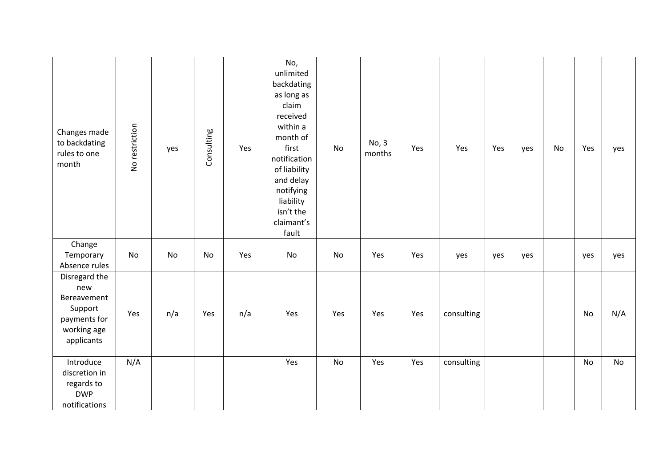| Changes made<br>to backdating<br>rules to one<br>month                                      | No restriction | yes | Consulting | Yes | No,<br>unlimited<br>backdating<br>as long as<br>claim<br>received<br>within a<br>month of<br>first<br>notification<br>of liability<br>and delay<br>notifying<br>liability<br>isn't the<br>claimant's<br>fault | <b>No</b> | No, 3<br>months | Yes | Yes        | Yes | yes | No | Yes | yes       |
|---------------------------------------------------------------------------------------------|----------------|-----|------------|-----|---------------------------------------------------------------------------------------------------------------------------------------------------------------------------------------------------------------|-----------|-----------------|-----|------------|-----|-----|----|-----|-----------|
| Change<br>Temporary<br>Absence rules                                                        | No             | No  | No         | Yes | No                                                                                                                                                                                                            | No        | Yes             | Yes | yes        | yes | yes |    | yes | yes       |
| Disregard the<br>new<br>Bereavement<br>Support<br>payments for<br>working age<br>applicants | Yes            | n/a | Yes        | n/a | Yes                                                                                                                                                                                                           | Yes       | Yes             | Yes | consulting |     |     |    | No  | N/A       |
| Introduce<br>discretion in<br>regards to<br><b>DWP</b><br>notifications                     | N/A            |     |            |     | Yes                                                                                                                                                                                                           | <b>No</b> | Yes             | Yes | consulting |     |     |    | No  | <b>No</b> |